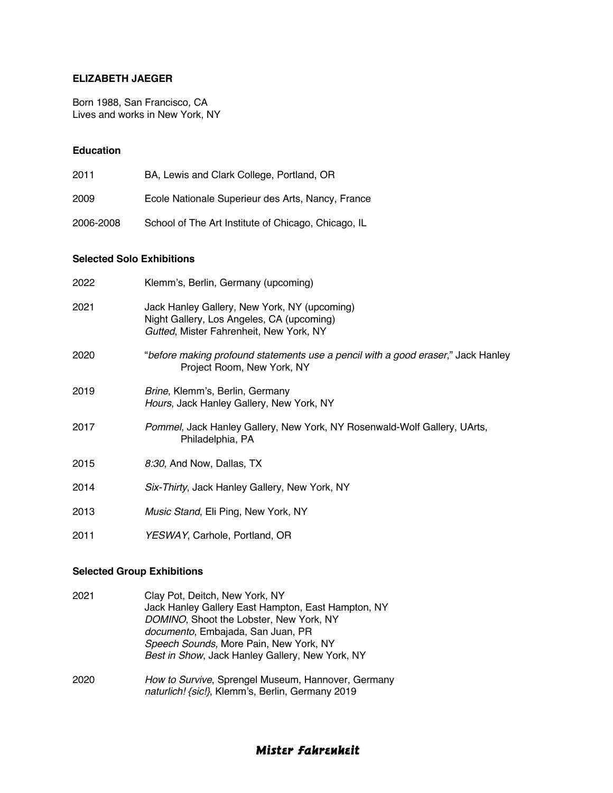#### **ELIZABETH JAEGER**

Born 1988, San Francisco, CA Lives and works in New York, NY

#### **Education**

| 2011      | BA, Lewis and Clark College, Portland, OR           |
|-----------|-----------------------------------------------------|
| 2009      | Ecole Nationale Superieur des Arts, Nancy, France   |
| 2006-2008 | School of The Art Institute of Chicago, Chicago, IL |

#### **Selected Solo Exhibitions**

| 2022 | Klemm's, Berlin, Germany (upcoming)                                                                                                  |
|------|--------------------------------------------------------------------------------------------------------------------------------------|
| 2021 | Jack Hanley Gallery, New York, NY (upcoming)<br>Night Gallery, Los Angeles, CA (upcoming)<br>Gutted, Mister Fahrenheit, New York, NY |
| 2020 | "before making profound statements use a pencil with a good eraser," Jack Hanley<br>Project Room, New York, NY                       |
| 2019 | Brine, Klemm's, Berlin, Germany<br>Hours, Jack Hanley Gallery, New York, NY                                                          |
| 2017 | Pommel, Jack Hanley Gallery, New York, NY Rosenwald-Wolf Gallery, UArts,<br>Philadelphia, PA                                         |
| 2015 | 8:30, And Now, Dallas, TX                                                                                                            |
| 2014 | Six-Thirty, Jack Hanley Gallery, New York, NY                                                                                        |
| 2013 | Music Stand, Eli Ping, New York, NY                                                                                                  |
| 2011 | YESWAY, Carhole, Portland, OR                                                                                                        |

#### **Selected Group Exhibitions**

| 2021 | Clay Pot, Deitch, New York, NY<br>Jack Hanley Gallery East Hampton, East Hampton, NY<br>DOMINO, Shoot the Lobster, New York, NY<br>documento, Embajada, San Juan, PR<br>Speech Sounds, More Pain, New York, NY |
|------|----------------------------------------------------------------------------------------------------------------------------------------------------------------------------------------------------------------|
|      | Best in Show, Jack Hanley Gallery, New York, NY                                                                                                                                                                |
| 2020 | How to Survive, Sprengel Museum, Hannover, Germany                                                                                                                                                             |

# *naturlich! {sic!}*, Klemm's, Berlin, Germany 2019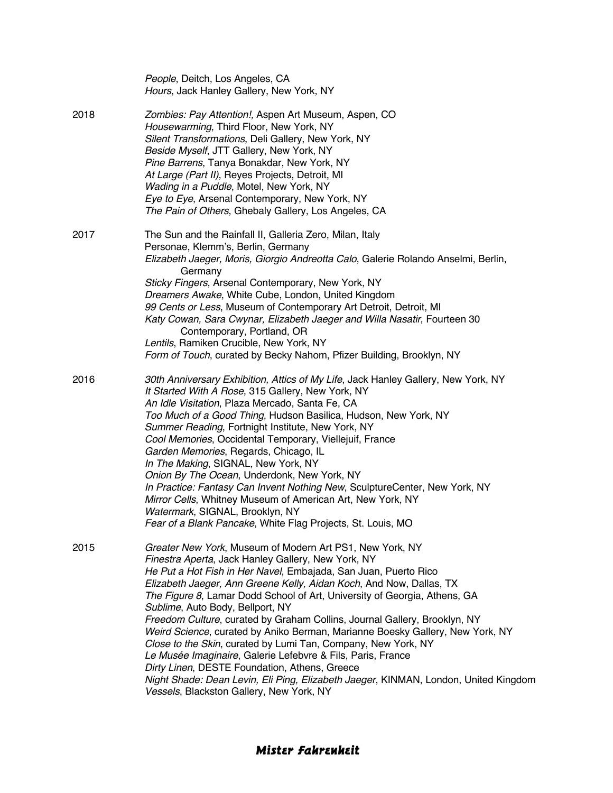|      | People, Deitch, Los Angeles, CA<br>Hours, Jack Hanley Gallery, New York, NY                                                                                                                                                                                                                                                                                                                                                                                                                                                                                                                                                                                                                                                                                                                                                                                 |
|------|-------------------------------------------------------------------------------------------------------------------------------------------------------------------------------------------------------------------------------------------------------------------------------------------------------------------------------------------------------------------------------------------------------------------------------------------------------------------------------------------------------------------------------------------------------------------------------------------------------------------------------------------------------------------------------------------------------------------------------------------------------------------------------------------------------------------------------------------------------------|
| 2018 | Zombies: Pay Attention!, Aspen Art Museum, Aspen, CO<br>Housewarming, Third Floor, New York, NY<br>Silent Transformations, Deli Gallery, New York, NY<br>Beside Myself, JTT Gallery, New York, NY<br>Pine Barrens, Tanya Bonakdar, New York, NY<br>At Large (Part II), Reyes Projects, Detroit, MI<br>Wading in a Puddle, Motel, New York, NY<br>Eye to Eye, Arsenal Contemporary, New York, NY<br>The Pain of Others, Ghebaly Gallery, Los Angeles, CA                                                                                                                                                                                                                                                                                                                                                                                                     |
| 2017 | The Sun and the Rainfall II, Galleria Zero, Milan, Italy<br>Personae, Klemm's, Berlin, Germany<br>Elizabeth Jaeger, Moris, Giorgio Andreotta Calo, Galerie Rolando Anselmi, Berlin,<br>Germany<br>Sticky Fingers, Arsenal Contemporary, New York, NY<br>Dreamers Awake, White Cube, London, United Kingdom<br>99 Cents or Less, Museum of Contemporary Art Detroit, Detroit, MI<br>Katy Cowan, Sara Cwynar, Elizabeth Jaeger and Willa Nasatir, Fourteen 30<br>Contemporary, Portland, OR<br>Lentils, Ramiken Crucible, New York, NY<br>Form of Touch, curated by Becky Nahom, Pfizer Building, Brooklyn, NY                                                                                                                                                                                                                                                |
| 2016 | 30th Anniversary Exhibition, Attics of My Life, Jack Hanley Gallery, New York, NY<br>It Started With A Rose, 315 Gallery, New York, NY<br>An Idle Visitation, Plaza Mercado, Santa Fe, CA<br>Too Much of a Good Thing, Hudson Basilica, Hudson, New York, NY<br>Summer Reading, Fortnight Institute, New York, NY<br>Cool Memories, Occidental Temporary, Viellejuif, France<br>Garden Memories, Regards, Chicago, IL<br>In The Making, SIGNAL, New York, NY<br>Onion By The Ocean, Underdonk, New York, NY<br>In Practice: Fantasy Can Invent Nothing New, SculptureCenter, New York, NY<br>Mirror Cells, Whitney Museum of American Art, New York, NY<br>Watermark, SIGNAL, Brooklyn, NY<br>Fear of a Blank Pancake, White Flag Projects, St. Louis, MO                                                                                                   |
| 2015 | Greater New York, Museum of Modern Art PS1, New York, NY<br>Finestra Aperta, Jack Hanley Gallery, New York, NY<br>He Put a Hot Fish in Her Navel, Embajada, San Juan, Puerto Rico<br>Elizabeth Jaeger, Ann Greene Kelly, Aidan Koch, And Now, Dallas, TX<br>The Figure 8, Lamar Dodd School of Art, University of Georgia, Athens, GA<br>Sublime, Auto Body, Bellport, NY<br>Freedom Culture, curated by Graham Collins, Journal Gallery, Brooklyn, NY<br>Weird Science, curated by Aniko Berman, Marianne Boesky Gallery, New York, NY<br>Close to the Skin, curated by Lumi Tan, Company, New York, NY<br>Le Musée Imaginaire, Galerie Lefebvre & Fils, Paris, France<br>Dirty Linen, DESTE Foundation, Athens, Greece<br>Night Shade: Dean Levin, Eli Ping, Elizabeth Jaeger, KINMAN, London, United Kingdom<br>Vessels, Blackston Gallery, New York, NY |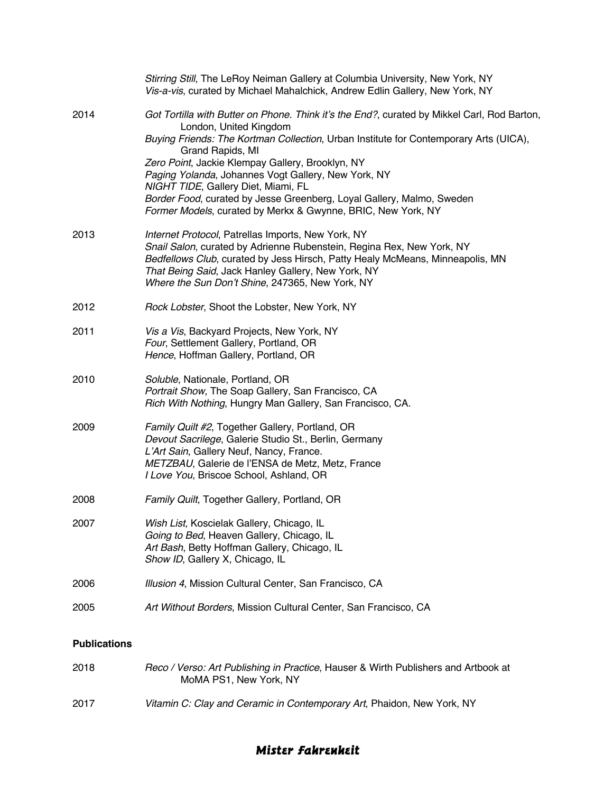|                     | Stirring Still, The LeRoy Neiman Gallery at Columbia University, New York, NY<br>Vis-a-vis, curated by Michael Mahalchick, Andrew Edlin Gallery, New York, NY                                                                                                                                                                                                                                                                                                                                                                 |
|---------------------|-------------------------------------------------------------------------------------------------------------------------------------------------------------------------------------------------------------------------------------------------------------------------------------------------------------------------------------------------------------------------------------------------------------------------------------------------------------------------------------------------------------------------------|
| 2014                | Got Tortilla with Butter on Phone. Think it's the End?, curated by Mikkel Carl, Rod Barton,<br>London, United Kingdom<br>Buying Friends: The Kortman Collection, Urban Institute for Contemporary Arts (UICA),<br>Grand Rapids, MI<br>Zero Point, Jackie Klempay Gallery, Brooklyn, NY<br>Paging Yolanda, Johannes Vogt Gallery, New York, NY<br>NIGHT TIDE, Gallery Diet, Miami, FL<br>Border Food, curated by Jesse Greenberg, Loyal Gallery, Malmo, Sweden<br>Former Models, curated by Merkx & Gwynne, BRIC, New York, NY |
| 2013                | Internet Protocol, Patrellas Imports, New York, NY<br>Snail Salon, curated by Adrienne Rubenstein, Regina Rex, New York, NY<br>Bedfellows Club, curated by Jess Hirsch, Patty Healy McMeans, Minneapolis, MN<br>That Being Said, Jack Hanley Gallery, New York, NY<br>Where the Sun Don't Shine, 247365, New York, NY                                                                                                                                                                                                         |
| 2012                | Rock Lobster, Shoot the Lobster, New York, NY                                                                                                                                                                                                                                                                                                                                                                                                                                                                                 |
| 2011                | Vis a Vis, Backyard Projects, New York, NY<br>Four, Settlement Gallery, Portland, OR<br>Hence, Hoffman Gallery, Portland, OR                                                                                                                                                                                                                                                                                                                                                                                                  |
| 2010                | Soluble, Nationale, Portland, OR<br>Portrait Show, The Soap Gallery, San Francisco, CA<br>Rich With Nothing, Hungry Man Gallery, San Francisco, CA.                                                                                                                                                                                                                                                                                                                                                                           |
| 2009                | Family Quilt #2, Together Gallery, Portland, OR<br>Devout Sacrilege, Galerie Studio St., Berlin, Germany<br>L'Art Sain, Gallery Neuf, Nancy, France.<br>METZBAU, Galerie de l'ENSA de Metz, Metz, France<br>I Love You, Briscoe School, Ashland, OR                                                                                                                                                                                                                                                                           |
| 2008                | Family Quilt, Together Gallery, Portland, OR                                                                                                                                                                                                                                                                                                                                                                                                                                                                                  |
| 2007                | Wish List, Koscielak Gallery, Chicago, IL<br>Going to Bed, Heaven Gallery, Chicago, IL<br>Art Bash, Betty Hoffman Gallery, Chicago, IL<br>Show ID, Gallery X, Chicago, IL                                                                                                                                                                                                                                                                                                                                                     |
| 2006                | Illusion 4, Mission Cultural Center, San Francisco, CA                                                                                                                                                                                                                                                                                                                                                                                                                                                                        |
| 2005                | Art Without Borders, Mission Cultural Center, San Francisco, CA                                                                                                                                                                                                                                                                                                                                                                                                                                                               |
| <b>Publications</b> |                                                                                                                                                                                                                                                                                                                                                                                                                                                                                                                               |
| 2018                | Reco / Verso: Art Publishing in Practice, Hauser & Wirth Publishers and Artbook at<br>MoMA PS1, New York, NY                                                                                                                                                                                                                                                                                                                                                                                                                  |
| 2017                | Vitamin C: Clay and Ceramic in Contemporary Art, Phaidon, New York, NY                                                                                                                                                                                                                                                                                                                                                                                                                                                        |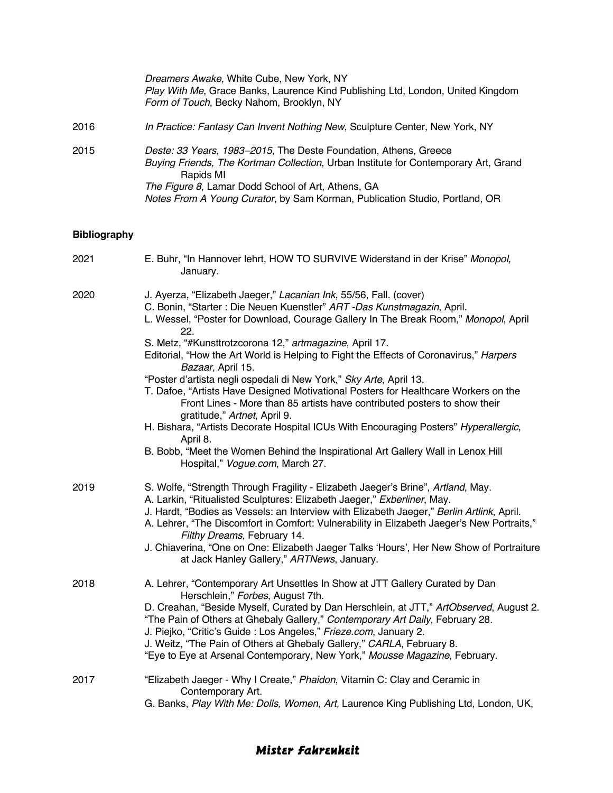|                     | Dreamers Awake, White Cube, New York, NY<br>Play With Me, Grace Banks, Laurence Kind Publishing Ltd, London, United Kingdom<br>Form of Touch, Becky Nahom, Brooklyn, NY                                                                                                                                                                                                                                                                                                                                                                                                                                                                                                                                                                                                                                                                                                                                                   |
|---------------------|---------------------------------------------------------------------------------------------------------------------------------------------------------------------------------------------------------------------------------------------------------------------------------------------------------------------------------------------------------------------------------------------------------------------------------------------------------------------------------------------------------------------------------------------------------------------------------------------------------------------------------------------------------------------------------------------------------------------------------------------------------------------------------------------------------------------------------------------------------------------------------------------------------------------------|
| 2016                | In Practice: Fantasy Can Invent Nothing New, Sculpture Center, New York, NY                                                                                                                                                                                                                                                                                                                                                                                                                                                                                                                                                                                                                                                                                                                                                                                                                                               |
| 2015                | Deste: 33 Years, 1983-2015, The Deste Foundation, Athens, Greece<br>Buying Friends, The Kortman Collection, Urban Institute for Contemporary Art, Grand<br>Rapids MI<br>The Figure 8, Lamar Dodd School of Art, Athens, GA<br>Notes From A Young Curator, by Sam Korman, Publication Studio, Portland, OR                                                                                                                                                                                                                                                                                                                                                                                                                                                                                                                                                                                                                 |
| <b>Bibliography</b> |                                                                                                                                                                                                                                                                                                                                                                                                                                                                                                                                                                                                                                                                                                                                                                                                                                                                                                                           |
| 2021                | E. Buhr, "In Hannover lehrt, HOW TO SURVIVE Widerstand in der Krise" Monopol,<br>January.                                                                                                                                                                                                                                                                                                                                                                                                                                                                                                                                                                                                                                                                                                                                                                                                                                 |
| 2020                | J. Ayerza, "Elizabeth Jaeger," Lacanian Ink, 55/56, Fall. (cover)<br>C. Bonin, "Starter : Die Neuen Kuenstler" ART -Das Kunstmagazin, April.<br>L. Wessel, "Poster for Download, Courage Gallery In The Break Room," Monopol, April<br>22.<br>S. Metz, "#Kunsttrotzcorona 12," artmagazine, April 17.<br>Editorial, "How the Art World is Helping to Fight the Effects of Coronavirus," Harpers<br>Bazaar, April 15.<br>"Poster d'artista negli ospedali di New York," Sky Arte, April 13.<br>T. Dafoe, "Artists Have Designed Motivational Posters for Healthcare Workers on the<br>Front Lines - More than 85 artists have contributed posters to show their<br>gratitude," Artnet, April 9.<br>H. Bishara, "Artists Decorate Hospital ICUs With Encouraging Posters" Hyperallergic,<br>April 8.<br>B. Bobb, "Meet the Women Behind the Inspirational Art Gallery Wall in Lenox Hill<br>Hospital," Vogue.com, March 27. |
| 2019                | S. Wolfe, "Strength Through Fragility - Elizabeth Jaeger's Brine", Artland, May.<br>A. Larkin, "Ritualisted Sculptures: Elizabeth Jaeger," Exberliner, May.<br>J. Hardt, "Bodies as Vessels: an Interview with Elizabeth Jaeger," Berlin Artlink, April.<br>A. Lehrer, "The Discomfort in Comfort: Vulnerability in Elizabeth Jaeger's New Portraits,"                                                                                                                                                                                                                                                                                                                                                                                                                                                                                                                                                                    |

*Filthy Dreams*, February 14. J. Chiaverina, "One on One: Elizabeth Jaeger Talks 'Hours', Her New Show of Portraiture at Jack Hanley Gallery," *ARTNews*, January.

| 2018 | A. Lehrer, "Contemporary Art Unsettles In Show at JTT Gallery Curated by Dan           |
|------|----------------------------------------------------------------------------------------|
|      | Herschlein," Forbes, August 7th.                                                       |
|      | D. Creahan, "Beside Myself, Curated by Dan Herschlein, at JTT," ArtObserved, August 2. |
|      | "The Pain of Others at Ghebaly Gallery," Contemporary Art Daily, February 28.          |
|      | J. Piejko, "Critic's Guide : Los Angeles," Frieze.com, January 2.                      |
|      | J. Weitz, "The Pain of Others at Ghebaly Gallery," CARLA, February 8.                  |
|      | "Eye to Eye at Arsenal Contemporary, New York," Mousse Magazine, February.             |
|      |                                                                                        |

- 2017 "Elizabeth Jaeger Why I Create," *Phaidon*, Vitamin C: Clay and Ceramic in Contemporary Art.
	- G. Banks, *Play With Me: Dolls, Women, Art,* Laurence King Publishing Ltd, London, UK,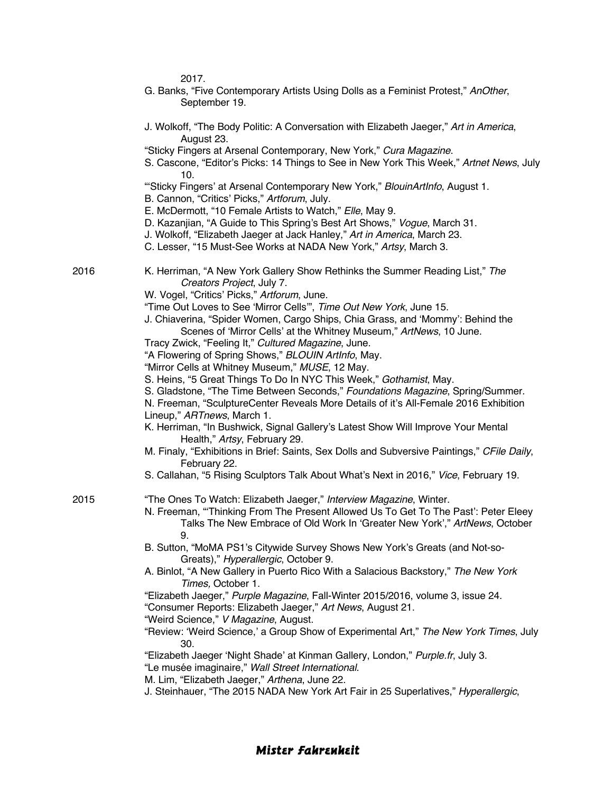2017.

- G. Banks, "Five Contemporary Artists Using Dolls as a Feminist Protest," *AnOther*, September 19.
- J. Wolkoff, "The Body Politic: A Conversation with Elizabeth Jaeger," *Art in America*, August 23.
- "Sticky Fingers at Arsenal Contemporary, New York," *Cura Magazine*.
- S. Cascone, "Editor's Picks: 14 Things to See in New York This Week," *Artnet News*, July 10.
- "'Sticky Fingers' at Arsenal Contemporary New York," *BlouinArtInfo*, August 1.
- B. Cannon, "Critics' Picks," *Artforum*, July.
- E. McDermott, "10 Female Artists to Watch," *Elle*, May 9.
- D. Kazanjian, "A Guide to This Spring's Best Art Shows," *Vogue*, March 31.
- J. Wolkoff, "Elizabeth Jaeger at Jack Hanley," *Art in America*, March 23.
- C. Lesser, "15 Must-See Works at NADA New York," *Artsy*, March 3.

- 2016 K. Herriman, "A New York Gallery Show Rethinks the Summer Reading List," *The Creators Project*, July 7.
	- W. Vogel, "Critics' Picks," *Artforum*, June.
	- "Time Out Loves to See 'Mirror Cells'", *Time Out New York*, June 15.
	- J. Chiaverina, "Spider Women, Cargo Ships, Chia Grass, and 'Mommy': Behind the Scenes of 'Mirror Cells' at the Whitney Museum," *ArtNews*, 10 June.
	- Tracy Zwick, "Feeling It," *Cultured Magazine*, June.
	- "A Flowering of Spring Shows," *BLOUIN ArtInfo*, May.
	- "Mirror Cells at Whitney Museum," *MUSE*, 12 May.
	- S. Heins, "5 Great Things To Do In NYC This Week," *Gothamist*, May.
	- S. Gladstone, "The Time Between Seconds," *Foundations Magazine*, Spring/Summer.
	- N. Freeman, "SculptureCenter Reveals More Details of it's All-Female 2016 Exhibition

Lineup," *ARTnews*, March 1.

- K. Herriman, "In Bushwick, Signal Gallery's Latest Show Will Improve Your Mental Health," *Artsy*, February 29.
- M. Finaly, "Exhibitions in Brief: Saints, Sex Dolls and Subversive Paintings," *CFile Daily*, February 22.
- S. Callahan, "5 Rising Sculptors Talk About What's Next in 2016," *Vice*, February 19.

2015 "The Ones To Watch: Elizabeth Jaeger," *Interview Magazine*, Winter.

- N. Freeman, "'Thinking From The Present Allowed Us To Get To The Past': Peter Eleey Talks The New Embrace of Old Work In 'Greater New York'," *ArtNews*, October 9.
- B. Sutton, "MoMA PS1's Citywide Survey Shows New York's Greats (and Not-so-Greats)," *Hyperallergic*, October 9.
- A. Binlot, "A New Gallery in Puerto Rico With a Salacious Backstory," *The New York Times,* October 1.
- "Elizabeth Jaeger," *Purple Magazine*, Fall-Winter 2015/2016, volume 3, issue 24.

"Consumer Reports: Elizabeth Jaeger," *Art News*, August 21.

- "Weird Science," *V Magazine*, August.
- "Review: 'Weird Science,' a Group Show of Experimental Art," *The New York Times*, July 30.

"Elizabeth Jaeger 'Night Shade' at Kinman Gallery, London," *Purple.fr*, July 3.

"Le musée imaginaire," *Wall Street International*.

- M. Lim, "Elizabeth Jaeger," *Arthena*, June 22.
- J. Steinhauer, "The 2015 NADA New York Art Fair in 25 Superlatives," *Hyperallergic*,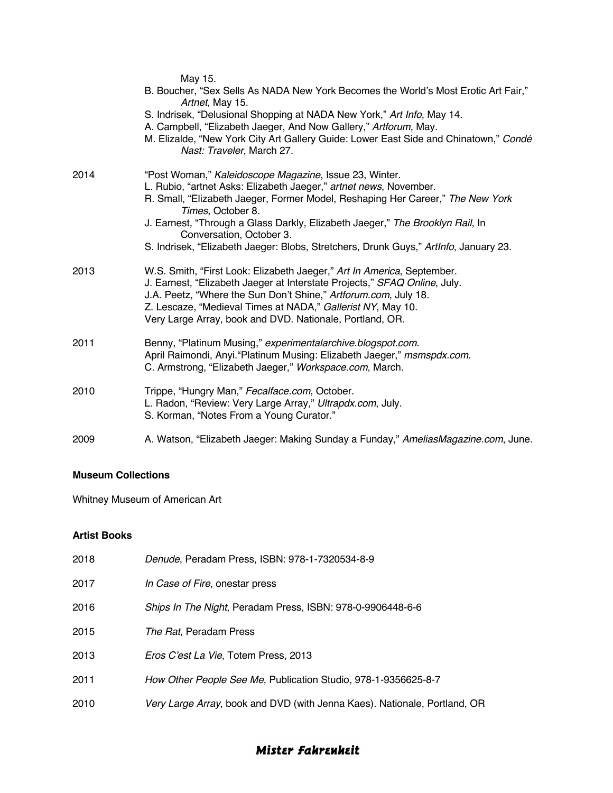|      | May 15.<br>B. Boucher, "Sex Sells As NADA New York Becomes the World's Most Erotic Art Fair,"<br>Artnet, May 15.<br>S. Indrisek, "Delusional Shopping at NADA New York," Art Info, May 14.<br>A. Campbell, "Elizabeth Jaeger, And Now Gallery," Artforum, May.<br>M. Elizalde, "New York City Art Gallery Guide: Lower East Side and Chinatown," Condé<br>Nast: Traveler, March 27.                                                     |
|------|-----------------------------------------------------------------------------------------------------------------------------------------------------------------------------------------------------------------------------------------------------------------------------------------------------------------------------------------------------------------------------------------------------------------------------------------|
| 2014 | "Post Woman," Kaleidoscope Magazine, Issue 23, Winter.<br>L. Rubio, "artnet Asks: Elizabeth Jaeger," artnet news, November.<br>R. Small, "Elizabeth Jaeger, Former Model, Reshaping Her Career," The New York<br>Times, October 8.<br>J. Earnest, "Through a Glass Darkly, Elizabeth Jaeger," The Brooklyn Rail, In<br>Conversation, October 3.<br>S. Indrisek, "Elizabeth Jaeger: Blobs, Stretchers, Drunk Guys," Artinfo, January 23. |
| 2013 | W.S. Smith, "First Look: Elizabeth Jaeger," Art In America, September.<br>J. Earnest, "Elizabeth Jaeger at Interstate Projects," SFAQ Online, July.<br>J.A. Peetz, "Where the Sun Don't Shine," Artforum.com, July 18.<br>Z. Lescaze, "Medieval Times at NADA," Gallerist NY, May 10.<br>Very Large Array, book and DVD. Nationale, Portland, OR.                                                                                       |
| 2011 | Benny, "Platinum Musing," experimentalarchive.blogspot.com.<br>April Raimondi, Anyi. "Platinum Musing: Elizabeth Jaeger," msmspdx.com.<br>C. Armstrong, "Elizabeth Jaeger," Workspace.com, March.                                                                                                                                                                                                                                       |
| 2010 | Trippe, "Hungry Man," Fecalface.com, October.<br>L. Radon, "Review: Very Large Array," Ultrapdx.com, July.<br>S. Korman, "Notes From a Young Curator."                                                                                                                                                                                                                                                                                  |
| 2009 | A. Watson, "Elizabeth Jaeger: Making Sunday a Funday," AmeliasMagazine.com, June.                                                                                                                                                                                                                                                                                                                                                       |

### **Museum Collections**

Whitney Museum of American Art

### **Artist Books**

| 2018 | Denude, Peradam Press, ISBN: 978-1-7320534-8-9                            |
|------|---------------------------------------------------------------------------|
| 2017 | In Case of Fire, onestar press                                            |
| 2016 | Ships In The Night, Peradam Press, ISBN: 978-0-9906448-6-6                |
| 2015 | The Rat, Peradam Press                                                    |
| 2013 | <i>Eros C'est La Vie</i> , Totem Press, 2013                              |
| 2011 | How Other People See Me, Publication Studio, 978-1-9356625-8-7            |
| 2010 | Very Large Array, book and DVD (with Jenna Kaes). Nationale, Portland, OR |